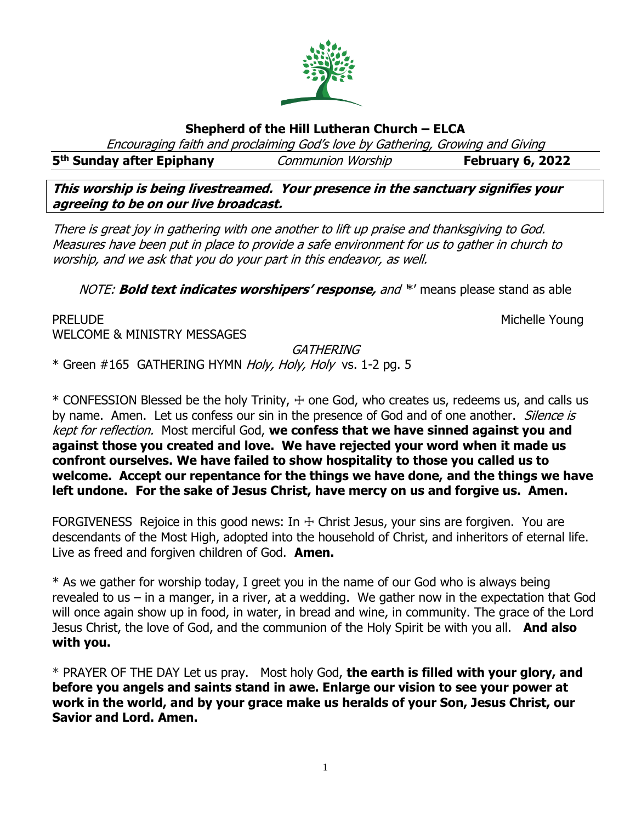

# **Shepherd of the Hill Lutheran Church – ELCA**

Encouraging faith and proclaiming God's love by Gathering, Growing and Giving

**5 th Sunday after Epiphany** Communion Worship **February 6, 2022**

**This worship is being livestreamed. Your presence in the sanctuary signifies your agreeing to be on our live broadcast.** 

There is great joy in gathering with one another to lift up praise and thanksgiving to God. Measures have been put in place to provide a safe environment for us to gather in church to worship, and we ask that you do your part in this endeavor, as well.

NOTE: **Bold text indicates worshipers' response,** and '\*' means please stand as able

PRELUDE **Example 2018** Michelle Young WELCOME & MINISTRY MESSAGES

**GATHERING** 

\* Green #165 GATHERING HYMN Holy, Holy, Holy vs. 1-2 pg. 5

 $*$  CONFESSION Blessed be the holy Trinity,  $+$  one God, who creates us, redeems us, and calls us by name. Amen. Let us confess our sin in the presence of God and of one another. Silence is kept for reflection. Most merciful God, **we confess that we have sinned against you and against those you created and love. We have rejected your word when it made us confront ourselves. We have failed to show hospitality to those you called us to welcome. Accept our repentance for the things we have done, and the things we have left undone. For the sake of Jesus Christ, have mercy on us and forgive us. Amen.**

FORGIVENESS Rejoice in this good news: In  $+$  Christ Jesus, your sins are forgiven. You are descendants of the Most High, adopted into the household of Christ, and inheritors of eternal life. Live as freed and forgiven children of God. **Amen.**

\* As we gather for worship today, I greet you in the name of our God who is always being revealed to us – in a manger, in a river, at a wedding. We gather now in the expectation that God will once again show up in food, in water, in bread and wine, in community. The grace of the Lord Jesus Christ, the love of God, and the communion of the Holy Spirit be with you all. **And also with you.**

\* PRAYER OF THE DAY Let us pray. Most holy God, **the earth is filled with your glory, and before you angels and saints stand in awe. Enlarge our vision to see your power at work in the world, and by your grace make us heralds of your Son, Jesus Christ, our Savior and Lord. Amen.**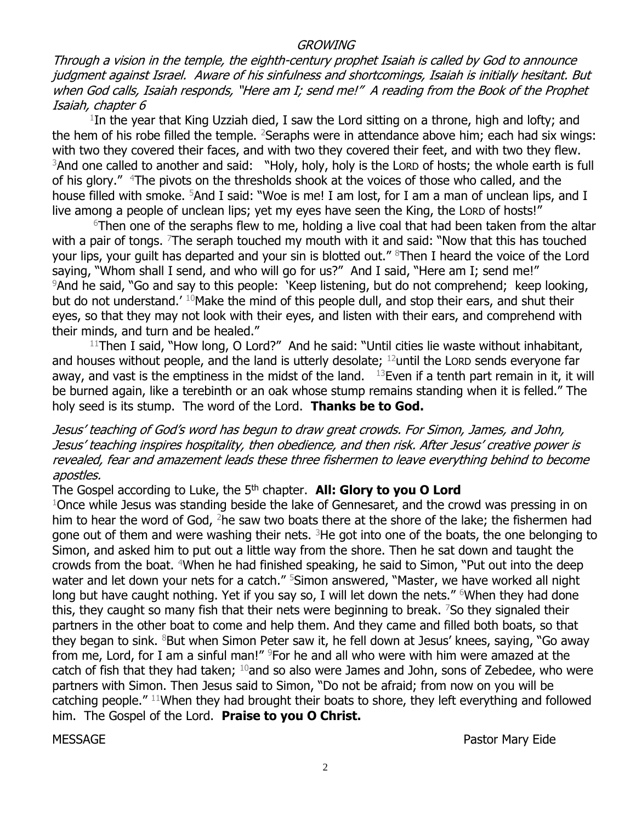#### **GROWING**

Through a vision in the temple, the eighth-century prophet Isaiah is called by God to announce judgment against Israel. Aware of his sinfulness and shortcomings, Isaiah is initially hesitant. But when God calls, Isaiah responds, "Here am I; send me!" A reading from the Book of the Prophet Isaiah, chapter 6

 $1$ In the year that King Uzziah died, I saw the Lord sitting on a throne, high and lofty; and the hem of his robe filled the temple. <sup>2</sup>Seraphs were in attendance above him; each had six wings: with two they covered their faces, and with two they covered their feet, and with two they flew. <sup>3</sup>And one called to another and said: "Holy, holy, holy is the LORD of hosts; the whole earth is full of his glory." <sup>4</sup>The pivots on the thresholds shook at the voices of those who called, and the house filled with smoke. <sup>5</sup>And I said: "Woe is me! I am lost, for I am a man of unclean lips, and I live among a people of unclean lips; yet my eyes have seen the King, the LORD of hosts!"

 $6$ Then one of the seraphs flew to me, holding a live coal that had been taken from the altar with a pair of tongs.  $7$ The seraph touched my mouth with it and said: "Now that this has touched your lips, your guilt has departed and your sin is blotted out." <sup>8</sup>Then I heard the voice of the Lord saying, "Whom shall I send, and who will go for us?" And I said, "Here am I; send me!" <sup>9</sup>And he said, "Go and say to this people: 'Keep listening, but do not comprehend; keep looking, but do not understand.<sup>' 10</sup>Make the mind of this people dull, and stop their ears, and shut their eyes, so that they may not look with their eyes, and listen with their ears, and comprehend with their minds, and turn and be healed."

 $11$ Then I said, "How long, O Lord?" And he said: "Until cities lie waste without inhabitant, and houses without people, and the land is utterly desolate;  $12$  until the LORD sends everyone far away, and vast is the emptiness in the midst of the land.  $13$  Even if a tenth part remain in it, it will be burned again, like a terebinth or an oak whose stump remains standing when it is felled." The holy seed is its stump. The word of the Lord. **Thanks be to God.** 

## Jesus' teaching of God's word has begun to draw great crowds. For Simon, James, and John, Jesus' teaching inspires hospitality, then obedience, and then risk. After Jesus' creative power is revealed, fear and amazement leads these three fishermen to leave everything behind to become apostles.

The Gospel according to Luke, the 5<sup>th</sup> chapter. **All: Glory to you O Lord** 

 $1$ Once while Jesus was standing beside the lake of Gennesaret, and the crowd was pressing in on him to hear the word of God,  $2$ he saw two boats there at the shore of the lake; the fishermen had gone out of them and were washing their nets.  ${}^{3}$ He got into one of the boats, the one belonging to Simon, and asked him to put out a little way from the shore. Then he sat down and taught the crowds from the boat. <sup>4</sup>When he had finished speaking, he said to Simon, "Put out into the deep water and let down your nets for a catch." <sup>5</sup>Simon answered, "Master, we have worked all night long but have caught nothing. Yet if you say so, I will let down the nets."  $6$ When they had done this, they caught so many fish that their nets were beginning to break. <sup>7</sup>So they signaled their partners in the other boat to come and help them. And they came and filled both boats, so that they began to sink.  $8$ But when Simon Peter saw it, he fell down at Jesus' knees, saying, "Go away from me, Lord, for I am a sinful man!" <sup>9</sup>For he and all who were with him were amazed at the catch of fish that they had taken;  $10$  and so also were James and John, sons of Zebedee, who were partners with Simon. Then Jesus said to Simon, "Do not be afraid; from now on you will be catching people." <sup>11</sup>When they had brought their boats to shore, they left everything and followed him. The Gospel of the Lord. **Praise to you O Christ.**

MESSAGE Pastor Mary Eide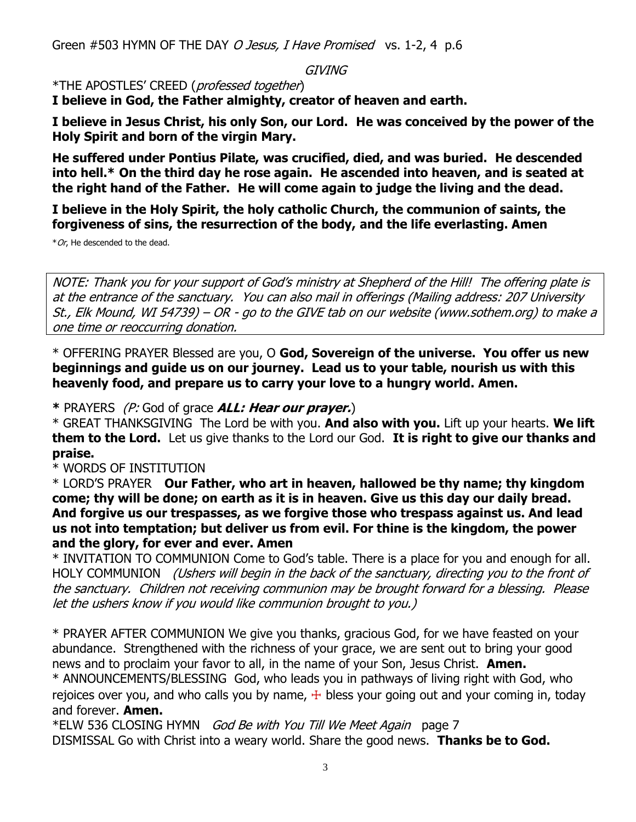Green #503 HYMN OF THE DAY O Jesus, I Have Promised vs. 1-2, 4 p.6

GIVING

\*THE APOSTLES' CREED (professed together)

**I believe in God, the Father almighty, creator of heaven and earth.**

**I believe in Jesus Christ, his only Son, our Lord. He was conceived by the power of the Holy Spirit and born of the virgin Mary.**

**He suffered under Pontius Pilate, was crucified, died, and was buried. He descended into hell.\* On the third day he rose again. He ascended into heaven, and is seated at the right hand of the Father. He will come again to judge the living and the dead.**

**I believe in the Holy Spirit, the holy catholic Church, the communion of saints, the forgiveness of sins, the resurrection of the body, and the life everlasting. Amen**

 $*Or$ , He descended to the dead.

NOTE: Thank you for your support of God's ministry at Shepherd of the Hill! The offering plate is at the entrance of the sanctuary. You can also mail in offerings (Mailing address: 207 University St., Elk Mound, WI 54739) – OR - go to the GIVE tab on our website (www.sothem.org) to make a one time or reoccurring donation.

\* OFFERING PRAYER Blessed are you, O **God, Sovereign of the universe. You offer us new beginnings and guide us on our journey. Lead us to your table, nourish us with this heavenly food, and prepare us to carry your love to a hungry world. Amen.**

**\*** PRAYERS (P: God of grace **ALL: Hear our prayer.**)

\* GREAT THANKSGIVING The Lord be with you. **And also with you.** Lift up your hearts. **We lift them to the Lord.** Let us give thanks to the Lord our God. **It is right to give our thanks and praise.** 

\* WORDS OF INSTITUTION

\* LORD'S PRAYER **Our Father, who art in heaven, hallowed be thy name; thy kingdom come; thy will be done; on earth as it is in heaven. Give us this day our daily bread. And forgive us our trespasses, as we forgive those who trespass against us. And lead us not into temptation; but deliver us from evil. For thine is the kingdom, the power and the glory, for ever and ever. Amen**

\* INVITATION TO COMMUNION Come to God's table. There is a place for you and enough for all. HOLY COMMUNION (Ushers will begin in the back of the sanctuary, directing you to the front of the sanctuary. Children not receiving communion may be brought forward for a blessing. Please let the ushers know if you would like communion brought to you.)

\* PRAYER AFTER COMMUNION We give you thanks, gracious God, for we have feasted on your abundance. Strengthened with the richness of your grace, we are sent out to bring your good news and to proclaim your favor to all, in the name of your Son, Jesus Christ. **Amen.** \* ANNOUNCEMENTS/BLESSING God, who leads you in pathways of living right with God, who rejoices over you, and who calls you by name,  $+$  bless your going out and your coming in, today and forever. **Amen.**

\*ELW 536 CLOSING HYMN God Be with You Till We Meet Again page 7 DISMISSAL Go with Christ into a weary world. Share the good news. **Thanks be to God.**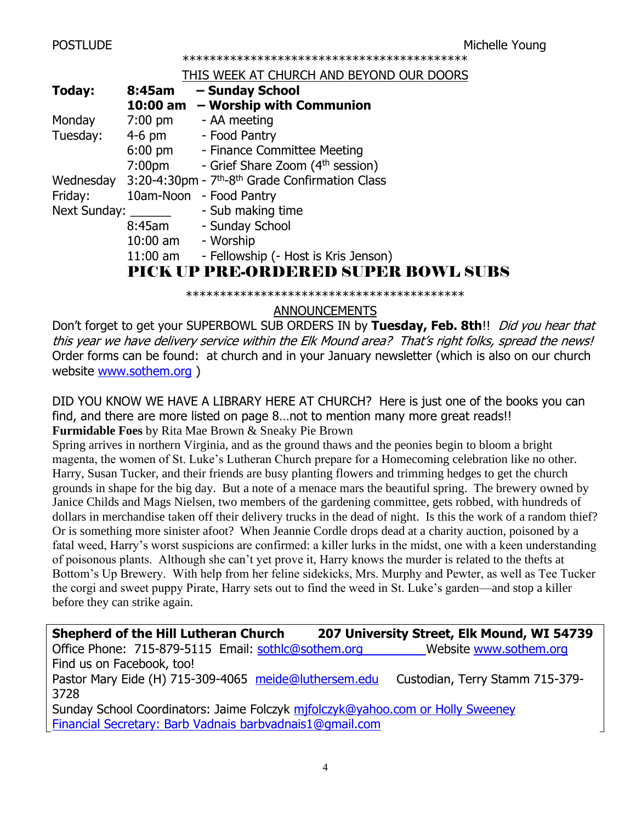\*\*\*\*\*\*\*\*\*\*\*\*\*\*\*\*\*\*\*\*\*\*\*\*\*\*\*\*\*\*\*\*\*\*\*\*\*\*\*\*\*\*

#### THIS WEEK AT CHURCH AND BEYOND OUR DOORS

| Today:       | 8:45am             | - Sunday School                                                         |
|--------------|--------------------|-------------------------------------------------------------------------|
|              | 10:00 am           | - Worship with Communion                                                |
| Monday       | $7:00$ pm          | - AA meeting                                                            |
| Tuesday:     | $4-6$ pm           | - Food Pantry                                                           |
|              | $6:00$ pm          | - Finance Committee Meeting                                             |
|              | 7:00 <sub>pm</sub> | - Grief Share Zoom (4 <sup>th</sup> session)                            |
| Wednesday    |                    | 3:20-4:30pm - 7 <sup>th</sup> -8 <sup>th</sup> Grade Confirmation Class |
| Friday:      | 10am-Noon          | - Food Pantry                                                           |
| Next Sunday: |                    | - Sub making time                                                       |
|              | 8:45am             | - Sunday School                                                         |
|              | $10:00$ am         | - Worship                                                               |
|              | $11:00$ am         | - Fellowship (- Host is Kris Jenson)                                    |
|              |                    | <b>PICK UP PRE-ORDERED SUPER BOWL SUBS</b>                              |
|              |                    |                                                                         |
|              |                    |                                                                         |

# ANNOUNCEMENTS

Don't forget to get your SUPERBOWL SUB ORDERS IN by Tuesday, Feb. 8th!! *Did you hear that* this year we have delivery service within the Elk Mound area? That's right folks, spread the news! Order forms can be found: at church and in your January newsletter (which is also on our church website [www.sothem.org](http://www.sothem.org/) )

DID YOU KNOW WE HAVE A LIBRARY HERE AT CHURCH? Here is just one of the books you can find, and there are more listed on page 8…not to mention many more great reads!! **Furmidable Foes** by Rita Mae Brown & Sneaky Pie Brown

Spring arrives in northern Virginia, and as the ground thaws and the peonies begin to bloom a bright magenta, the women of St. Luke's Lutheran Church prepare for a Homecoming celebration like no other. Harry, Susan Tucker, and their friends are busy planting flowers and trimming hedges to get the church grounds in shape for the big day. But a note of a menace mars the beautiful spring. The brewery owned by Janice Childs and Mags Nielsen, two members of the gardening committee, gets robbed, with hundreds of dollars in merchandise taken off their delivery trucks in the dead of night. Is this the work of a random thief? Or is something more sinister afoot? When Jeannie Cordle drops dead at a charity auction, poisoned by a fatal weed, Harry's worst suspicions are confirmed: a killer lurks in the midst, one with a keen understanding of poisonous plants. Although she can't yet prove it, Harry knows the murder is related to the thefts at Bottom's Up Brewery. With help from her feline sidekicks, Mrs. Murphy and Pewter, as well as Tee Tucker the corgi and sweet puppy Pirate, Harry sets out to find the weed in St. Luke's garden—and stop a killer before they can strike again.

| <b>Shepherd of the Hill Lutheran Church</b>                                    | 207 University Street, Elk Mound, WI 54739 |  |  |  |
|--------------------------------------------------------------------------------|--------------------------------------------|--|--|--|
| Office Phone: 715-879-5115 Email: sothic@sothem.org                            | Website www.sothem.org                     |  |  |  |
| Find us on Facebook, too!                                                      |                                            |  |  |  |
| Pastor Mary Eide (H) 715-309-4065 meide@luthersem.edu                          | Custodian, Terry Stamm 715-379-            |  |  |  |
| 3728                                                                           |                                            |  |  |  |
| Sunday School Coordinators: Jaime Folczyk mifolczyk@yahoo.com or Holly Sweeney |                                            |  |  |  |

Financial Secretary: Barb Vadnais [barbvadnais1@gmail.com](mailto:barbvadnais1@gmail.com)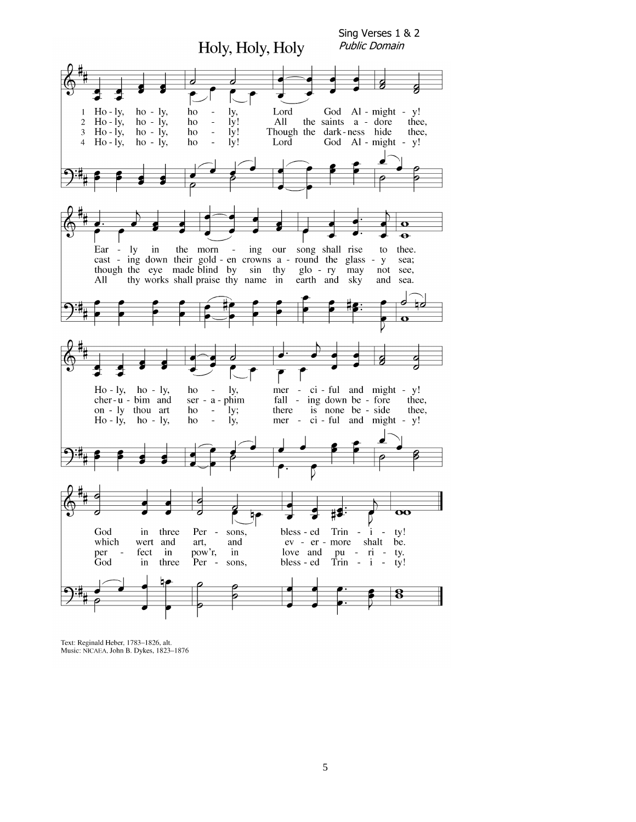

Text: Reginald Heber, 1783-1826, alt. Music: NICAEA, John B. Dykes, 1823-1876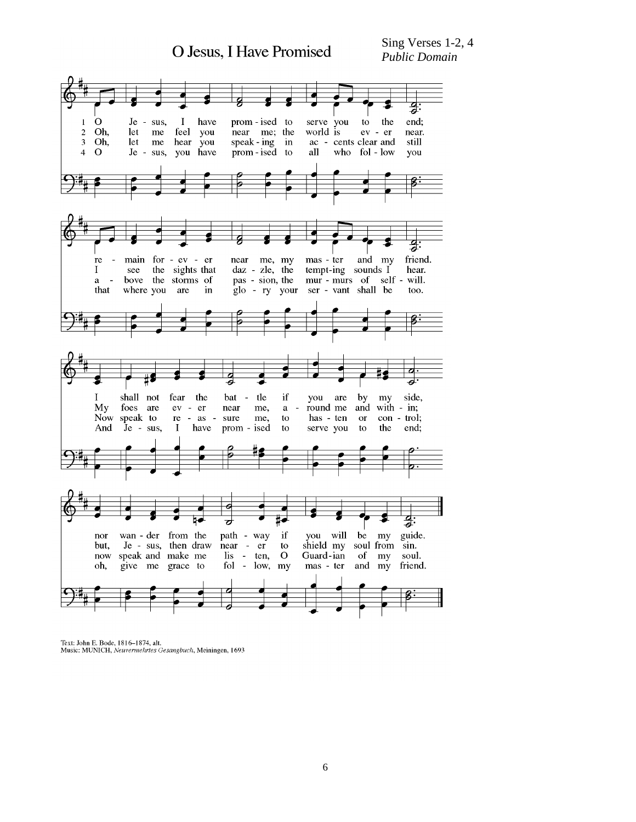

Text: John E. Bode, 1816-1874, alt.<br>Music: MUNICH, Neuvermehrtes Gesangbuch, Meiningen, 1693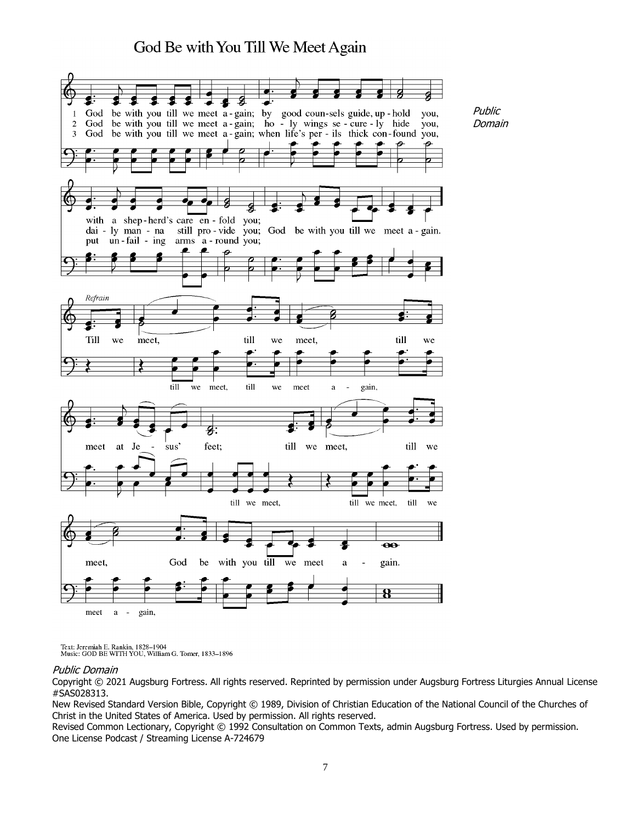# God Be with You Till We Meet Again

Public Domain



Text: Jeremiah E. Rankin, 1828–1904<br>Music: GOD BE WITH YOU, William G. Tomer, 1833–1896

#### Public Domain

Copyright © 2021 Augsburg Fortress. All rights reserved. Reprinted by permission under Augsburg Fortress Liturgies Annual License #SAS028313.

New Revised Standard Version Bible, Copyright © 1989, Division of Christian Education of the National Council of the Churches of Christ in the United States of America. Used by permission. All rights reserved.

Revised Common Lectionary, Copyright © 1992 Consultation on Common Texts, admin Augsburg Fortress. Used by permission. One License Podcast / Streaming License A-724679